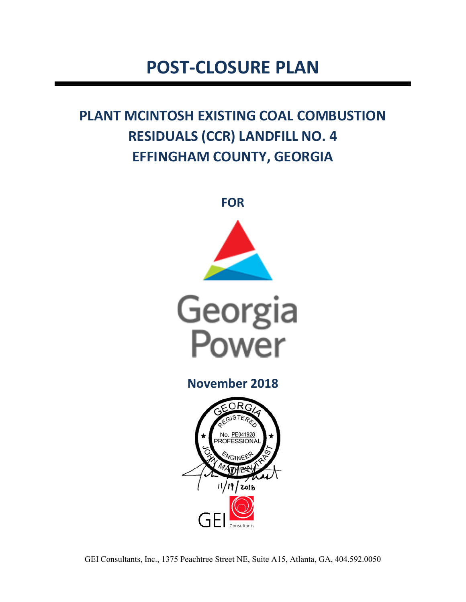# **POST-CLOSURE PLAN**

## **PLANT MCINTOSH EXISTING COAL COMBUSTION RESIDUALS (CCR) LANDFILL NO. 4 EFFINGHAM COUNTY, GEORGIA**





**November 2018** 

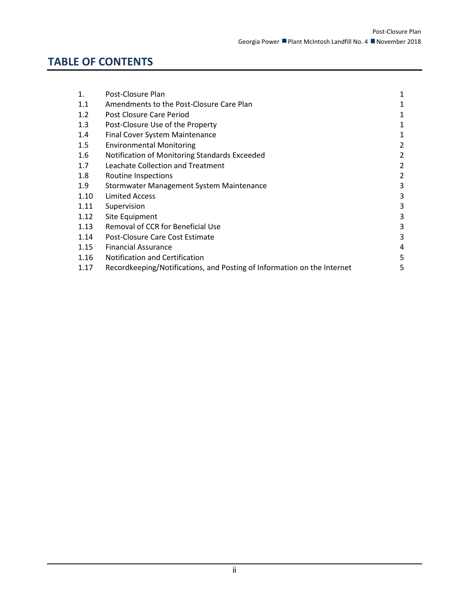## **TABLE OF CONTENTS**

| 1.   | Post-Closure Plan                                                       |   |
|------|-------------------------------------------------------------------------|---|
| 1.1  | Amendments to the Post-Closure Care Plan                                | 1 |
| 1.2  | Post Closure Care Period                                                | 1 |
| 1.3  | Post-Closure Use of the Property                                        |   |
| 1.4  | Final Cover System Maintenance                                          | 1 |
| 1.5  | <b>Environmental Monitoring</b>                                         | 2 |
| 1.6  | Notification of Monitoring Standards Exceeded                           | 2 |
| 1.7  | Leachate Collection and Treatment                                       | 2 |
| 1.8  | Routine Inspections                                                     | 2 |
| 1.9  | Stormwater Management System Maintenance                                | 3 |
| 1.10 | <b>Limited Access</b>                                                   | 3 |
| 1.11 | Supervision                                                             | 3 |
| 1.12 | Site Equipment                                                          | 3 |
| 1.13 | Removal of CCR for Beneficial Use                                       | 3 |
| 1.14 | Post-Closure Care Cost Estimate                                         | 3 |
| 1.15 | <b>Financial Assurance</b>                                              | 4 |
| 1.16 | Notification and Certification                                          | 5 |
| 1.17 | Recordkeeping/Notifications, and Posting of Information on the Internet | 5 |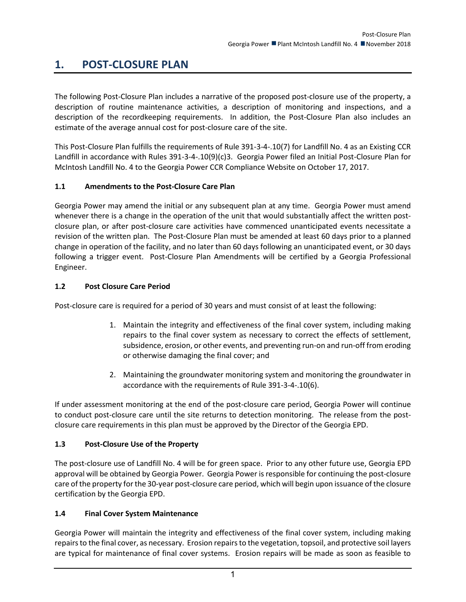### <span id="page-2-0"></span>**1. POST-CLOSURE PLAN**

The following Post-Closure Plan includes a narrative of the proposed post-closure use of the property, a description of routine maintenance activities, a description of monitoring and inspections, and a description of the recordkeeping requirements. In addition, the Post-Closure Plan also includes an estimate of the average annual cost for post-closure care of the site.

This Post-Closure Plan fulfills the requirements of Rule 391-3-4-.10(7) for Landfill No. 4 as an Existing CCR Landfill in accordance with Rules 391-3-4-.10(9)(c)3. Georgia Power filed an Initial Post-Closure Plan for McIntosh Landfill No. 4 to the Georgia Power CCR Compliance Website on October 17, 2017.

#### <span id="page-2-1"></span>**1.1 Amendments to the Post-Closure Care Plan**

Georgia Power may amend the initial or any subsequent plan at any time. Georgia Power must amend whenever there is a change in the operation of the unit that would substantially affect the written postclosure plan, or after post-closure care activities have commenced unanticipated events necessitate a revision of the written plan. The Post-Closure Plan must be amended at least 60 days prior to a planned change in operation of the facility, and no later than 60 days following an unanticipated event, or 30 days following a trigger event. Post-Closure Plan Amendments will be certified by a Georgia Professional Engineer.

#### <span id="page-2-2"></span>**1.2 Post Closure Care Period**

Post-closure care is required for a period of 30 years and must consist of at least the following:

- 1. Maintain the integrity and effectiveness of the final cover system, including making repairs to the final cover system as necessary to correct the effects of settlement, subsidence, erosion, or other events, and preventing run-on and run-off from eroding or otherwise damaging the final cover; and
- 2. Maintaining the groundwater monitoring system and monitoring the groundwater in accordance with the requirements of Rule 391-3-4-.10(6).

If under assessment monitoring at the end of the post-closure care period, Georgia Power will continue to conduct post-closure care until the site returns to detection monitoring. The release from the postclosure care requirements in this plan must be approved by the Director of the Georgia EPD.

#### <span id="page-2-3"></span>**1.3 Post-Closure Use of the Property**

The post-closure use of Landfill No. 4 will be for green space. Prior to any other future use, Georgia EPD approval will be obtained by Georgia Power. Georgia Power is responsible for continuing the post-closure care of the property for the 30-year post-closure care period, which will begin upon issuance of the closure certification by the Georgia EPD.

#### <span id="page-2-4"></span>**1.4 Final Cover System Maintenance**

Georgia Power will maintain the integrity and effectiveness of the final cover system, including making repairs to the final cover, as necessary. Erosion repairs to the vegetation, topsoil, and protective soil layers are typical for maintenance of final cover systems. Erosion repairs will be made as soon as feasible to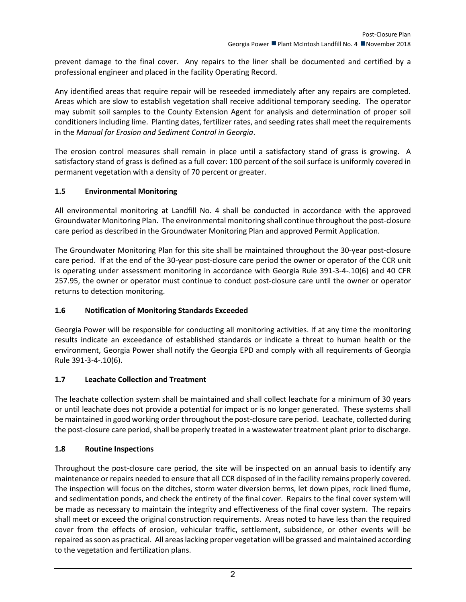prevent damage to the final cover. Any repairs to the liner shall be documented and certified by a professional engineer and placed in the facility Operating Record.

Any identified areas that require repair will be reseeded immediately after any repairs are completed. Areas which are slow to establish vegetation shall receive additional temporary seeding. The operator may submit soil samples to the County Extension Agent for analysis and determination of proper soil conditioners including lime. Planting dates, fertilizer rates, and seeding rates shall meet the requirements in the *Manual for Erosion and Sediment Control in Georgia*.

The erosion control measures shall remain in place until a satisfactory stand of grass is growing. A satisfactory stand of grass is defined as a full cover: 100 percent of the soil surface is uniformly covered in permanent vegetation with a density of 70 percent or greater.

#### <span id="page-3-0"></span>**1.5 Environmental Monitoring**

All environmental monitoring at Landfill No. 4 shall be conducted in accordance with the approved Groundwater Monitoring Plan. The environmental monitoring shall continue throughout the post-closure care period as described in the Groundwater Monitoring Plan and approved Permit Application.

The Groundwater Monitoring Plan for this site shall be maintained throughout the 30-year post-closure care period. If at the end of the 30-year post-closure care period the owner or operator of the CCR unit is operating under assessment monitoring in accordance with Georgia Rule 391-3-4-.10(6) and 40 CFR 257.95, the owner or operator must continue to conduct post-closure care until the owner or operator returns to detection monitoring.

#### <span id="page-3-1"></span>**1.6 Notification of Monitoring Standards Exceeded**

Georgia Power will be responsible for conducting all monitoring activities. If at any time the monitoring results indicate an exceedance of established standards or indicate a threat to human health or the environment, Georgia Power shall notify the Georgia EPD and comply with all requirements of Georgia Rule 391-3-4-.10(6).

#### <span id="page-3-2"></span>**1.7 Leachate Collection and Treatment**

The leachate collection system shall be maintained and shall collect leachate for a minimum of 30 years or until leachate does not provide a potential for impact or is no longer generated. These systems shall be maintained in good working order throughout the post-closure care period. Leachate, collected during the post-closure care period, shall be properly treated in a wastewater treatment plant prior to discharge.

#### <span id="page-3-3"></span>**1.8 Routine Inspections**

Throughout the post-closure care period, the site will be inspected on an annual basis to identify any maintenance or repairs needed to ensure that all CCR disposed of in the facility remains properly covered. The inspection will focus on the ditches, storm water diversion berms, let down pipes, rock lined flume, and sedimentation ponds, and check the entirety of the final cover. Repairs to the final cover system will be made as necessary to maintain the integrity and effectiveness of the final cover system. The repairs shall meet or exceed the original construction requirements. Areas noted to have less than the required cover from the effects of erosion, vehicular traffic, settlement, subsidence, or other events will be repaired as soon as practical. All areas lacking proper vegetation will be grassed and maintained according to the vegetation and fertilization plans.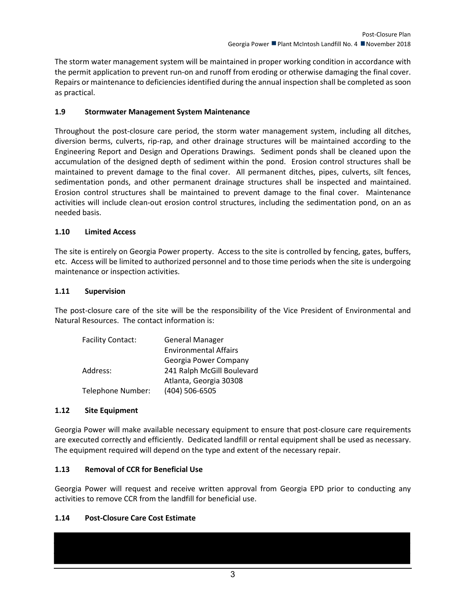The storm water management system will be maintained in proper working condition in accordance with the permit application to prevent run-on and runoff from eroding or otherwise damaging the final cover. Repairs or maintenance to deficiencies identified during the annual inspection shall be completed as soon as practical.

#### <span id="page-4-0"></span>**1.9 Stormwater Management System Maintenance**

Throughout the post-closure care period, the storm water management system, including all ditches, diversion berms, culverts, rip-rap, and other drainage structures will be maintained according to the Engineering Report and Design and Operations Drawings. Sediment ponds shall be cleaned upon the accumulation of the designed depth of sediment within the pond. Erosion control structures shall be maintained to prevent damage to the final cover. All permanent ditches, pipes, culverts, silt fences, sedimentation ponds, and other permanent drainage structures shall be inspected and maintained. Erosion control structures shall be maintained to prevent damage to the final cover. Maintenance activities will include clean-out erosion control structures, including the sedimentation pond, on an as needed basis.

#### <span id="page-4-1"></span>**1.10 Limited Access**

The site is entirely on Georgia Power property. Access to the site is controlled by fencing, gates, buffers, etc. Access will be limited to authorized personnel and to those time periods when the site is undergoing maintenance or inspection activities.

#### <span id="page-4-2"></span>**1.11 Supervision**

The post-closure care of the site will be the responsibility of the Vice President of Environmental and Natural Resources. The contact information is:

| <b>Facility Contact:</b> | <b>General Manager</b>       |  |
|--------------------------|------------------------------|--|
|                          | <b>Environmental Affairs</b> |  |
|                          | Georgia Power Company        |  |
| Address:                 | 241 Ralph McGill Boulevard   |  |
|                          | Atlanta, Georgia 30308       |  |
| Telephone Number:        | (404) 506-6505               |  |

#### <span id="page-4-3"></span>**1.12 Site Equipment**

Georgia Power will make available necessary equipment to ensure that post-closure care requirements are executed correctly and efficiently. Dedicated landfill or rental equipment shall be used as necessary. The equipment required will depend on the type and extent of the necessary repair.

#### <span id="page-4-4"></span>**1.13 Removal of CCR for Beneficial Use**

Georgia Power will request and receive written approval from Georgia EPD prior to conducting any activities to remove CCR from the landfill for beneficial use.

#### <span id="page-4-5"></span>**1.14 Post-Closure Care Cost Estimate**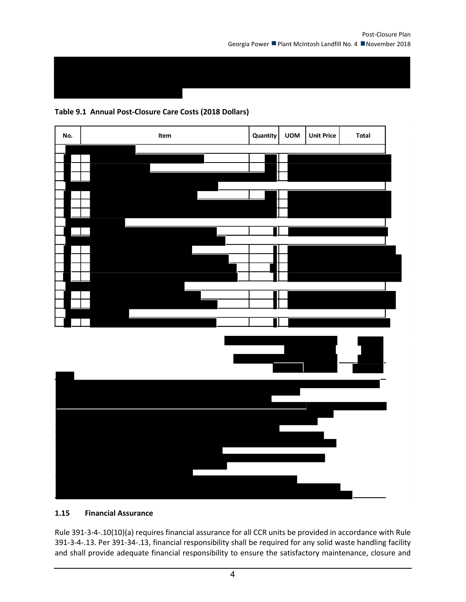#### **Table 9.1 Annual Post-Closure Care Costs (2018 Dollars)**



<span id="page-5-0"></span>**1.15 Financial Assurance**

Rule 391-3-4-.10(10)(a) requires financial assurance for all CCR units be provided in accordance with Rule 391-3-4-.13. Per 391-34-.13, financial responsibility shall be required for any solid waste handling facility and shall provide adequate financial responsibility to ensure the satisfactory maintenance, closure and